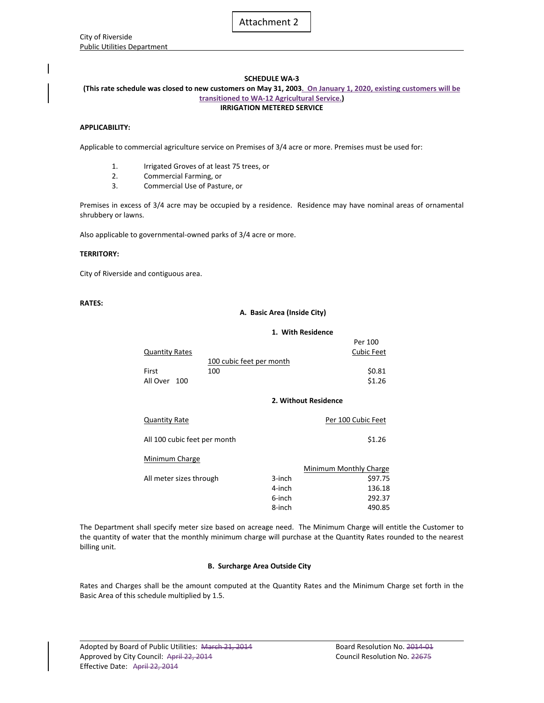| City of Riverside                  |
|------------------------------------|
| <b>Public Utilities Department</b> |

# **SCHEDULE WA‐3**

## **(This rate schedule was closed to new customers on May 31, 2003. On January 1, 2020, existing customers will be transitioned to WA‐12 Agricultural Service.) IRRIGATION METERED SERVICE**

# **APPLICABILITY:**

Applicable to commercial agriculture service on Premises of 3/4 acre or more. Premises must be used for:

- 1. Irrigated Groves of at least 75 trees, or
- 2. Commercial Farming, or
- 3. Commercial Use of Pasture, or

Premises in excess of 3/4 acre may be occupied by a residence. Residence may have nominal areas of ornamental shrubbery or lawns.

Also applicable to governmental‐owned parks of 3/4 acre or more.

# **TERRITORY:**

City of Riverside and contiguous area.

# **RATES:**

## **A. Basic Area (Inside City)**

### **1. With Residence**

|                |                          | Per 100           |
|----------------|--------------------------|-------------------|
| Quantity Rates |                          | <b>Cubic Feet</b> |
|                | 100 cubic feet per month |                   |
| First          | 100                      | \$0.81            |
| All Over 100   |                          | \$1.26            |
|                |                          |                   |
|                | 2. Without Residence     |                   |

| <b>Quantity Rate</b>         |        | Per 100 Cubic Feet     |
|------------------------------|--------|------------------------|
| All 100 cubic feet per month |        | \$1.26                 |
| Minimum Charge               |        | Minimum Monthly Charge |
|                              |        |                        |
| All meter sizes through      | 3-inch | \$97.75                |
|                              | 4-inch | 136.18                 |
|                              | 6-inch | 292.37                 |
|                              | 8-inch | 490.85                 |

The Department shall specify meter size based on acreage need. The Minimum Charge will entitle the Customer to the quantity of water that the monthly minimum charge will purchase at the Quantity Rates rounded to the nearest billing unit.

# **B. Surcharge Area Outside City**

Rates and Charges shall be the amount computed at the Quantity Rates and the Minimum Charge set forth in the Basic Area of this schedule multiplied by 1.5.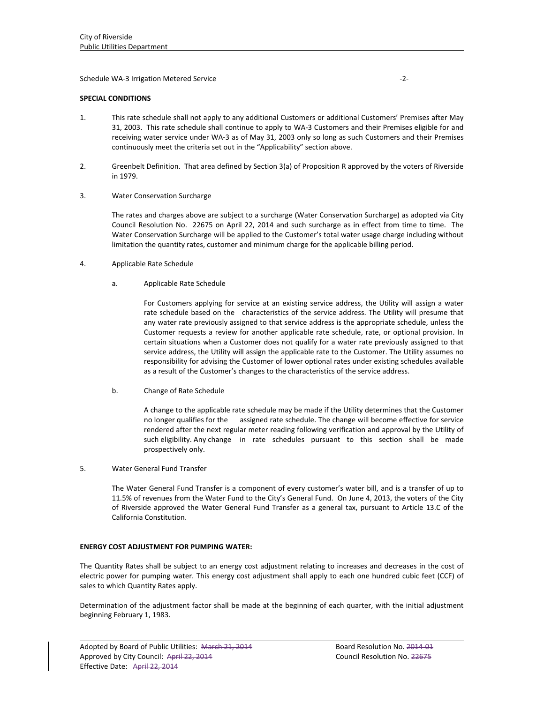Schedule WA‐3 Irrigation Metered Service ‐2‐

# **SPECIAL CONDITIONS**

- 1. This rate schedule shall not apply to any additional Customers or additional Customers' Premises after May 31, 2003. This rate schedule shall continue to apply to WA‐3 Customers and their Premises eligible for and receiving water service under WA‐3 as of May 31, 2003 only so long as such Customers and their Premises continuously meet the criteria set out in the "Applicability" section above.
- 2. Greenbelt Definition. That area defined by Section 3(a) of Proposition R approved by the voters of Riverside in 1979.
- 3. Water Conservation Surcharge

 The rates and charges above are subject to a surcharge (Water Conservation Surcharge) as adopted via City Council Resolution No. 22675 on April 22, 2014 and such surcharge as in effect from time to time. The Water Conservation Surcharge will be applied to the Customer's total water usage charge including without limitation the quantity rates, customer and minimum charge for the applicable billing period.

- 4. Applicable Rate Schedule
	- a. Applicable Rate Schedule

For Customers applying for service at an existing service address, the Utility will assign a water rate schedule based on the characteristics of the service address. The Utility will presume that any water rate previously assigned to that service address is the appropriate schedule, unless the Customer requests a review for another applicable rate schedule, rate, or optional provision. In certain situations when a Customer does not qualify for a water rate previously assigned to that service address, the Utility will assign the applicable rate to the Customer. The Utility assumes no responsibility for advising the Customer of lower optional rates under existing schedules available as a result of the Customer's changes to the characteristics of the service address.

b. Change of Rate Schedule

A change to the applicable rate schedule may be made if the Utility determines that the Customer no longer qualifies for the assigned rate schedule. The change will become effective for service rendered after the next regular meter reading following verification and approval by the Utility of such eligibility. Any change in rate schedules pursuant to this section shall be made prospectively only.

5. Water General Fund Transfer

The Water General Fund Transfer is a component of every customer's water bill, and is a transfer of up to 11.5% of revenues from the Water Fund to the City's General Fund. On June 4, 2013, the voters of the City of Riverside approved the Water General Fund Transfer as a general tax, pursuant to Article 13.C of the California Constitution.

# **ENERGY COST ADJUSTMENT FOR PUMPING WATER:**

The Quantity Rates shall be subject to an energy cost adjustment relating to increases and decreases in the cost of electric power for pumping water. This energy cost adjustment shall apply to each one hundred cubic feet (CCF) of sales to which Quantity Rates apply.

Determination of the adjustment factor shall be made at the beginning of each quarter, with the initial adjustment beginning February 1, 1983.

<u> 1989 - Johann Stoff, amerikansk politiker (d. 1989)</u>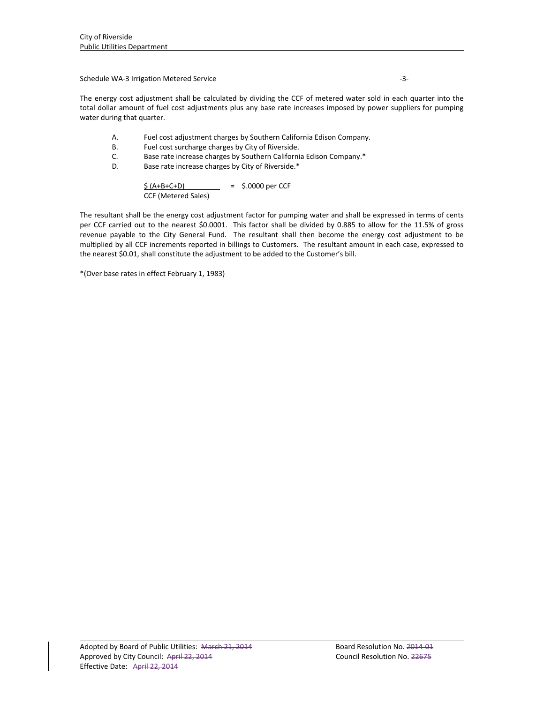Schedule WA‐3 Irrigation Metered Service ‐3‐

The energy cost adjustment shall be calculated by dividing the CCF of metered water sold in each quarter into the total dollar amount of fuel cost adjustments plus any base rate increases imposed by power suppliers for pumping water during that quarter.

- A. Fuel cost adjustment charges by Southern California Edison Company.
- B. Fuel cost surcharge charges by City of Riverside.
- C. Base rate increase charges by Southern California Edison Company.\*
- D. Base rate increase charges by City of Riverside.\*

 $$ (A+B+C+D)$  = \$.0000 per CCF CCF (Metered Sales)

The resultant shall be the energy cost adjustment factor for pumping water and shall be expressed in terms of cents per CCF carried out to the nearest \$0.0001. This factor shall be divided by 0.885 to allow for the 11.5% of gross revenue payable to the City General Fund. The resultant shall then become the energy cost adjustment to be multiplied by all CCF increments reported in billings to Customers. The resultant amount in each case, expressed to the nearest \$0.01, shall constitute the adjustment to be added to the Customer's bill.

\*(Over base rates in effect February 1, 1983)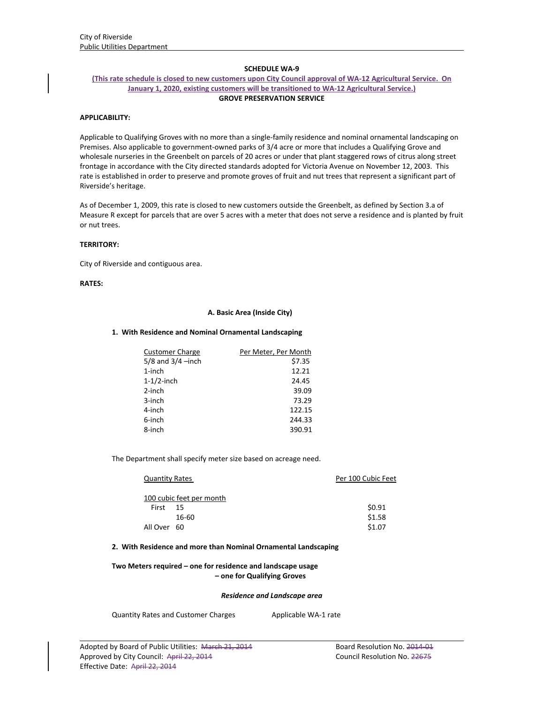## **SCHEDULE WA‐9**

## **(This rate schedule is closed to new customers upon City Council approval of WA‐12 Agricultural Service. On January 1, 2020, existing customers will be transitioned to WA‐12 Agricultural Service.) GROVE PRESERVATION SERVICE**

# **APPLICABILITY:**

Applicable to Qualifying Groves with no more than a single‐family residence and nominal ornamental landscaping on Premises. Also applicable to government‐owned parks of 3/4 acre or more that includes a Qualifying Grove and wholesale nurseries in the Greenbelt on parcels of 20 acres or under that plant staggered rows of citrus along street frontage in accordance with the City directed standards adopted for Victoria Avenue on November 12, 2003. This rate is established in order to preserve and promote groves of fruit and nut trees that represent a significant part of Riverside's heritage.

As of December 1, 2009, this rate is closed to new customers outside the Greenbelt, as defined by Section 3.a of Measure R except for parcels that are over 5 acres with a meter that does not serve a residence and is planted by fruit or nut trees.

## **TERRITORY:**

City of Riverside and contiguous area.

# **RATES:**

### **A. Basic Area (Inside City)**

#### **1. With Residence and Nominal Ornamental Landscaping**

| <b>Customer Charge</b> | Per Meter, Per Month |
|------------------------|----------------------|
| $5/8$ and $3/4$ -inch  | \$7.35               |
| $1$ -inch              | 12.21                |
| $1-1/2$ -inch          | 24.45                |
| 2-inch                 | 39.09                |
| 3-inch                 | 73.29                |
| 4-inch                 | 122.15               |
| 6-inch                 | 244.33               |
| 8-inch                 | 390.91               |

The Department shall specify meter size based on acreage need.

| <b>Quantity Rates</b> |                          | Per 100 Cubic Feet |
|-----------------------|--------------------------|--------------------|
|                       | 100 cubic feet per month |                    |
| First                 | - 15                     | \$0.91             |
|                       | 16-60                    | \$1.58             |
| All Over 60           |                          | \$1.07             |

#### **2. With Residence and more than Nominal Ornamental Landscaping**

# **Two Meters required – one for residence and landscape usage – one for Qualifying Groves**

#### *Residence and Landscape area*

<u> 1989 - Johann Stoff, amerikansk politiker (d. 1989)</u>

Quantity Rates and Customer Charges Applicable WA-1 rate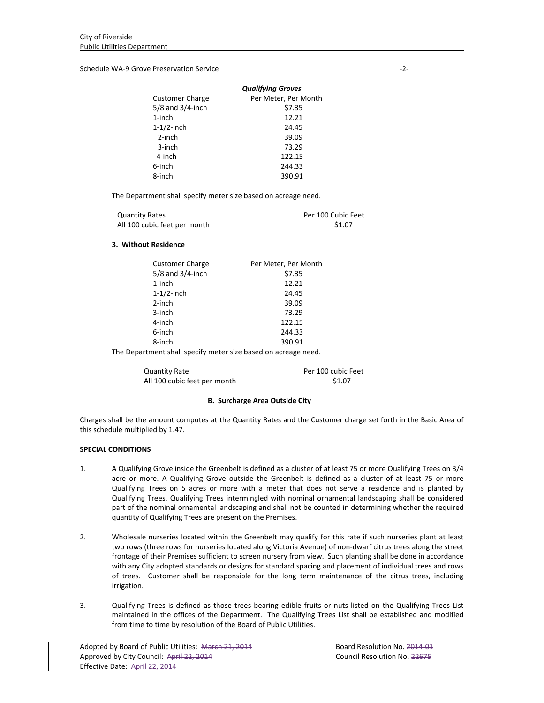Schedule WA‐9 Grove Preservation Service ‐2‐

|                        | <b>Qualifying Groves</b> |
|------------------------|--------------------------|
| <b>Customer Charge</b> | Per Meter, Per Month     |
| $5/8$ and $3/4$ -inch  | \$7.35                   |
| $1$ -inch              | 12.21                    |
| $1-1/2$ -inch          | 24.45                    |
| $2$ -inch              | 39.09                    |
| 3-inch                 | 73.29                    |
| 4-inch                 | 122.15                   |
| 6-inch                 | 244.33                   |
| 8-inch                 | 390.91                   |

The Department shall specify meter size based on acreage need.

| <b>Quantity Rates</b>        | Per 100 Cubic Feet |
|------------------------------|--------------------|
| All 100 cubic feet per month | \$1.07             |

# **3. Without Residence**

| Per Meter, Per Month |
|----------------------|
| \$7.35               |
| 12.21                |
| 24.45                |
| 39.09                |
| 73.29                |
| 122.15               |
| 244.33               |
| 390.91               |
|                      |

The Department shall specify meter size based on acreage need.

Quantity Rate **Calculation** Rev. 2012 Per 100 cubic Feet All 100 cubic feet per month \$1.07

# **B. Surcharge Area Outside City**

Charges shall be the amount computes at the Quantity Rates and the Customer charge set forth in the Basic Area of this schedule multiplied by 1.47.

# **SPECIAL CONDITIONS**

- 1. A Qualifying Grove inside the Greenbelt is defined as a cluster of at least 75 or more Qualifying Trees on 3/4 acre or more. A Qualifying Grove outside the Greenbelt is defined as a cluster of at least 75 or more Qualifying Trees on 5 acres or more with a meter that does not serve a residence and is planted by Qualifying Trees. Qualifying Trees intermingled with nominal ornamental landscaping shall be considered part of the nominal ornamental landscaping and shall not be counted in determining whether the required quantity of Qualifying Trees are present on the Premises.
- 2. Wholesale nurseries located within the Greenbelt may qualify for this rate if such nurseries plant at least two rows (three rows for nurseries located along Victoria Avenue) of non‐dwarf citrus trees along the street frontage of their Premises sufficient to screen nursery from view. Such planting shall be done in accordance with any City adopted standards or designs for standard spacing and placement of individual trees and rows of trees. Customer shall be responsible for the long term maintenance of the citrus trees, including irrigation.
- 3. Qualifying Trees is defined as those trees bearing edible fruits or nuts listed on the Qualifying Trees List maintained in the offices of the Department. The Qualifying Trees List shall be established and modified from time to time by resolution of the Board of Public Utilities.

<u> 1989 - Johann Stoff, amerikansk politiker (d. 1989)</u>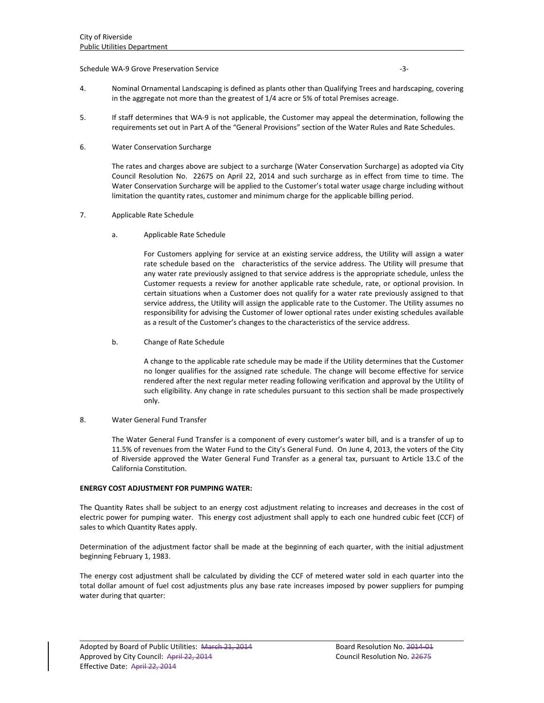## Schedule WA‐9 Grove Preservation Service ‐3‐

- 4. Nominal Ornamental Landscaping is defined as plants other than Qualifying Trees and hardscaping, covering in the aggregate not more than the greatest of 1/4 acre or 5% of total Premises acreage.
- 5. If staff determines that WA‐9 is not applicable, the Customer may appeal the determination, following the requirements set out in Part A of the "General Provisions" section of the Water Rules and Rate Schedules.
- 6. Water Conservation Surcharge

The rates and charges above are subject to a surcharge (Water Conservation Surcharge) as adopted via City Council Resolution No. 22675 on April 22, 2014 and such surcharge as in effect from time to time. The Water Conservation Surcharge will be applied to the Customer's total water usage charge including without limitation the quantity rates, customer and minimum charge for the applicable billing period.

# 7. Applicable Rate Schedule

a. Applicable Rate Schedule

For Customers applying for service at an existing service address, the Utility will assign a water rate schedule based on the characteristics of the service address. The Utility will presume that any water rate previously assigned to that service address is the appropriate schedule, unless the Customer requests a review for another applicable rate schedule, rate, or optional provision. In certain situations when a Customer does not qualify for a water rate previously assigned to that service address, the Utility will assign the applicable rate to the Customer. The Utility assumes no responsibility for advising the Customer of lower optional rates under existing schedules available as a result of the Customer's changes to the characteristics of the service address.

b. Change of Rate Schedule

A change to the applicable rate schedule may be made if the Utility determines that the Customer no longer qualifies for the assigned rate schedule. The change will become effective for service rendered after the next regular meter reading following verification and approval by the Utility of such eligibility. Any change in rate schedules pursuant to this section shall be made prospectively only.

## 8. Water General Fund Transfer

The Water General Fund Transfer is a component of every customer's water bill, and is a transfer of up to 11.5% of revenues from the Water Fund to the City's General Fund. On June 4, 2013, the voters of the City of Riverside approved the Water General Fund Transfer as a general tax, pursuant to Article 13.C of the California Constitution.

## **ENERGY COST ADJUSTMENT FOR PUMPING WATER:**

The Quantity Rates shall be subject to an energy cost adjustment relating to increases and decreases in the cost of electric power for pumping water. This energy cost adjustment shall apply to each one hundred cubic feet (CCF) of sales to which Quantity Rates apply.

Determination of the adjustment factor shall be made at the beginning of each quarter, with the initial adjustment beginning February 1, 1983.

The energy cost adjustment shall be calculated by dividing the CCF of metered water sold in each quarter into the total dollar amount of fuel cost adjustments plus any base rate increases imposed by power suppliers for pumping water during that quarter:

<u> 1989 - Johann Stoff, amerikansk politiker (d. 1989)</u>